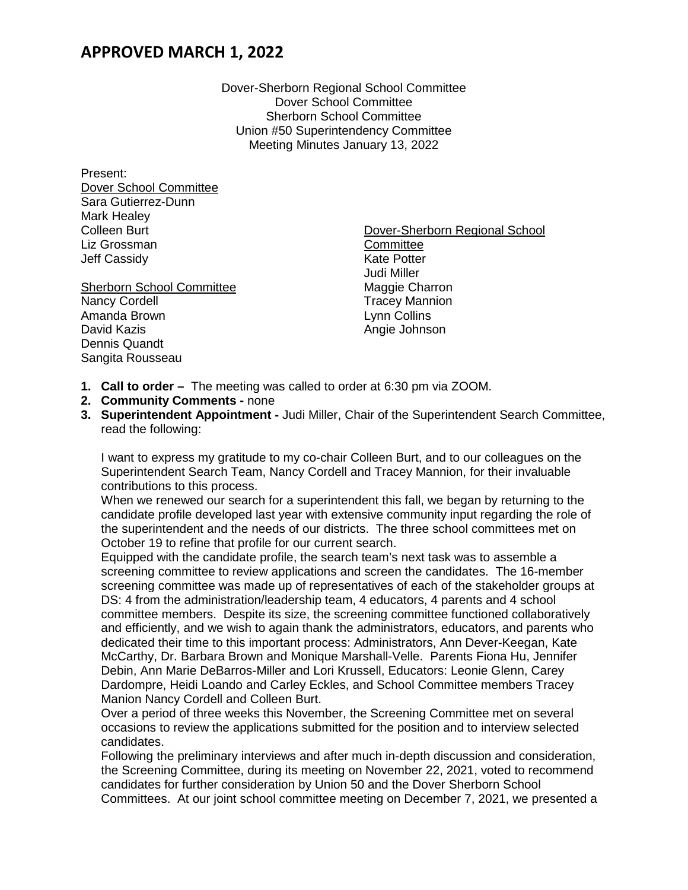## **APPROVED MARCH 1, 2022**

Dover-Sherborn Regional School Committee Dover School Committee Sherborn School Committee Union #50 Superintendency Committee Meeting Minutes January 13, 2022

Present: Dover School Committee Sara Gutierrez-Dunn Mark Healey Colleen Burt Liz Grossman Jeff Cassidy

Sherborn School Committee Nancy Cordell Amanda Brown David Kazis Dennis Quandt Sangita Rousseau

Dover-Sherborn Regional School **Committee** Kate Potter Judi Miller Maggie Charron Tracey Mannion Lynn Collins Angie Johnson

- **1. Call to order** The meeting was called to order at 6:30 pm via ZOOM.
- **2. Community Comments -** none
- **3. Superintendent Appointment -** Judi Miller, Chair of the Superintendent Search Committee, read the following:

I want to express my gratitude to my co-chair Colleen Burt, and to our colleagues on the Superintendent Search Team, Nancy Cordell and Tracey Mannion, for their invaluable contributions to this process.

When we renewed our search for a superintendent this fall, we began by returning to the candidate profile developed last year with extensive community input regarding the role of the superintendent and the needs of our districts. The three school committees met on October 19 to refine that profile for our current search.

Equipped with the candidate profile, the search team's next task was to assemble a screening committee to review applications and screen the candidates. The 16-member screening committee was made up of representatives of each of the stakeholder groups at DS: 4 from the administration/leadership team, 4 educators, 4 parents and 4 school committee members. Despite its size, the screening committee functioned collaboratively and efficiently, and we wish to again thank the administrators, educators, and parents who dedicated their time to this important process: Administrators, Ann Dever-Keegan, Kate McCarthy, Dr. Barbara Brown and Monique Marshall-Velle. Parents Fiona Hu, Jennifer Debin, Ann Marie DeBarros-Miller and Lori Krussell, Educators: Leonie Glenn, Carey Dardompre, Heidi Loando and Carley Eckles, and School Committee members Tracey Manion Nancy Cordell and Colleen Burt.

Over a period of three weeks this November, the Screening Committee met on several occasions to review the applications submitted for the position and to interview selected candidates.

Following the preliminary interviews and after much in-depth discussion and consideration, the Screening Committee, during its meeting on November 22, 2021, voted to recommend candidates for further consideration by Union 50 and the Dover Sherborn School Committees. At our joint school committee meeting on December 7, 2021, we presented a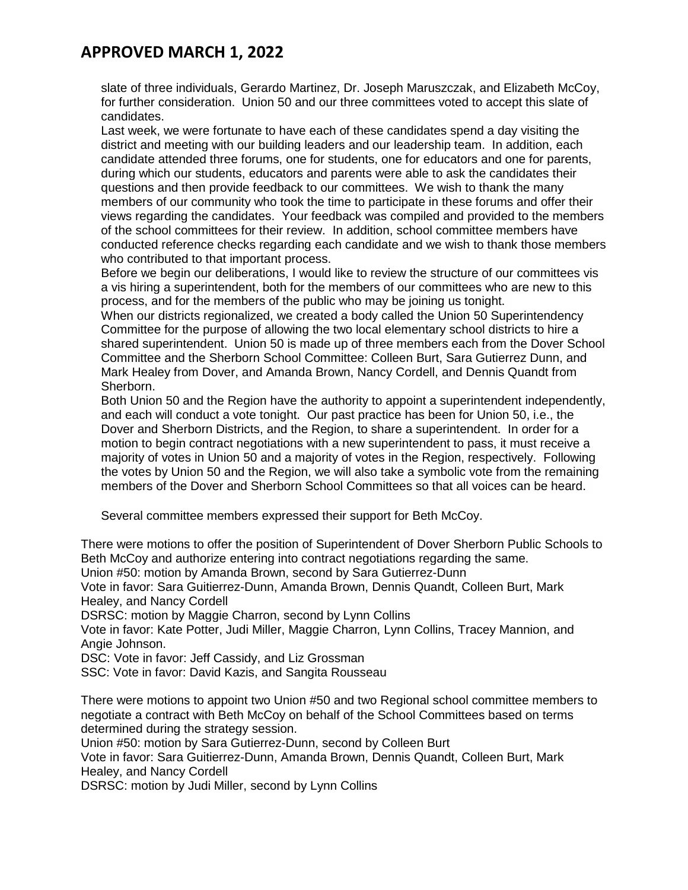## **APPROVED MARCH 1, 2022**

slate of three individuals, Gerardo Martinez, Dr. Joseph Maruszczak, and Elizabeth McCoy, for further consideration. Union 50 and our three committees voted to accept this slate of candidates.

Last week, we were fortunate to have each of these candidates spend a day visiting the district and meeting with our building leaders and our leadership team. In addition, each candidate attended three forums, one for students, one for educators and one for parents, during which our students, educators and parents were able to ask the candidates their questions and then provide feedback to our committees. We wish to thank the many members of our community who took the time to participate in these forums and offer their views regarding the candidates. Your feedback was compiled and provided to the members of the school committees for their review. In addition, school committee members have conducted reference checks regarding each candidate and we wish to thank those members who contributed to that important process.

Before we begin our deliberations, I would like to review the structure of our committees vis a vis hiring a superintendent, both for the members of our committees who are new to this process, and for the members of the public who may be joining us tonight.

When our districts regionalized, we created a body called the Union 50 Superintendency Committee for the purpose of allowing the two local elementary school districts to hire a shared superintendent. Union 50 is made up of three members each from the Dover School Committee and the Sherborn School Committee: Colleen Burt, Sara Gutierrez Dunn, and Mark Healey from Dover, and Amanda Brown, Nancy Cordell, and Dennis Quandt from Sherborn.

Both Union 50 and the Region have the authority to appoint a superintendent independently, and each will conduct a vote tonight. Our past practice has been for Union 50, i.e., the Dover and Sherborn Districts, and the Region, to share a superintendent. In order for a motion to begin contract negotiations with a new superintendent to pass, it must receive a majority of votes in Union 50 and a majority of votes in the Region, respectively. Following the votes by Union 50 and the Region, we will also take a symbolic vote from the remaining members of the Dover and Sherborn School Committees so that all voices can be heard.

Several committee members expressed their support for Beth McCoy.

There were motions to offer the position of Superintendent of Dover Sherborn Public Schools to Beth McCoy and authorize entering into contract negotiations regarding the same.

Union #50: motion by Amanda Brown, second by Sara Gutierrez-Dunn

Vote in favor: Sara Guitierrez-Dunn, Amanda Brown, Dennis Quandt, Colleen Burt, Mark Healey, and Nancy Cordell

DSRSC: motion by Maggie Charron, second by Lynn Collins

Vote in favor: Kate Potter, Judi Miller, Maggie Charron, Lynn Collins, Tracey Mannion, and Angie Johnson.

DSC: Vote in favor: Jeff Cassidy, and Liz Grossman

SSC: Vote in favor: David Kazis, and Sangita Rousseau

There were motions to appoint two Union #50 and two Regional school committee members to negotiate a contract with Beth McCoy on behalf of the School Committees based on terms determined during the strategy session.

Union #50: motion by Sara Gutierrez-Dunn, second by Colleen Burt

Vote in favor: Sara Guitierrez-Dunn, Amanda Brown, Dennis Quandt, Colleen Burt, Mark Healey, and Nancy Cordell

DSRSC: motion by Judi Miller, second by Lynn Collins